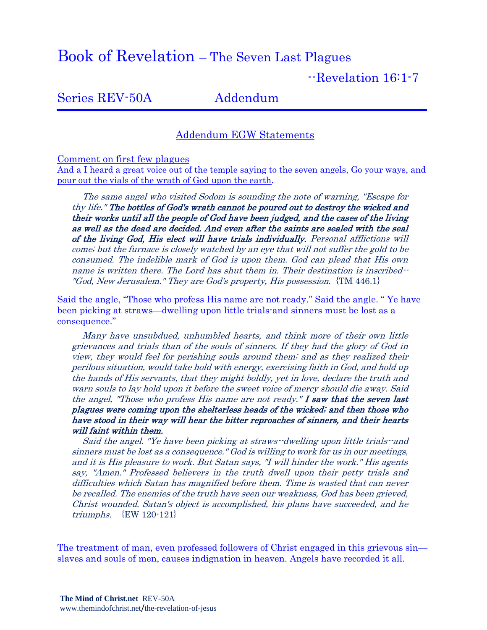Book of Revelation – The Seven Last Plagues

--Revelation 16:1-7

Series REV-50A Addendum

## Addendum EGW Statements

## Comment on first few plagues

And a I heard a great voice out of the temple saying to the seven angels, Go your ways, and pour out the vials of the wrath of God upon the earth.

The same angel who visited Sodom is sounding the note of warning, "Escape for thy life." The bottles of God's wrath cannot be poured out to destroy the wicked and their works until all the people of God have been judged, and the cases of the living as well as the dead are decided. And even after the saints are sealed with the seal of the living God, His elect will have trials individually. Personal afflictions will come; but the furnace is closely watched by an eye that will not suffer the gold to be consumed. The indelible mark of God is upon them. God can plead that His own name is written there. The Lord has shut them in. Their destination is inscribed-- "God, New Jerusalem." They are God's property, His possession. {TM 446.1}

Said the angle, "Those who profess His name are not ready." Said the angle. " Ye have been picking at straws—dwelling upon little trials-and sinners must be lost as a consequence."

Many have unsubdued, unhumbled hearts, and think more of their own little grievances and trials than of the souls of sinners. If they had the glory of God in view, they would feel for perishing souls around them; and as they realized their perilous situation, would take hold with energy, exercising faith in God, and hold up the hands of His servants, that they might boldly, yet in love, declare the truth and warn souls to lay hold upon it before the sweet voice of mercy should die away. Said the angel, "Those who profess His name are not ready." I saw that the seven last plagues were coming upon the shelterless heads of the wicked; and then those who have stood in their way will hear the bitter reproaches of sinners, and their hearts will faint within them.

Said the angel. "Ye have been picking at straws--dwelling upon little trials--and sinners must be lost as a consequence." God is willing to work for us in our meetings, and it is His pleasure to work. But Satan says, "I will hinder the work." His agents say, "Amen." Professed believers in the truth dwell upon their petty trials and difficulties which Satan has magnified before them. Time is wasted that can never be recalled. The enemies of the truth have seen our weakness, God has been grieved, Christ wounded. Satan's object is accomplished, his plans have succeeded, and he triumphs.  $\{EW\ 120-121\}$ 

The treatment of man, even professed followers of Christ engaged in this grievous sin slaves and souls of men, causes indignation in heaven. Angels have recorded it all.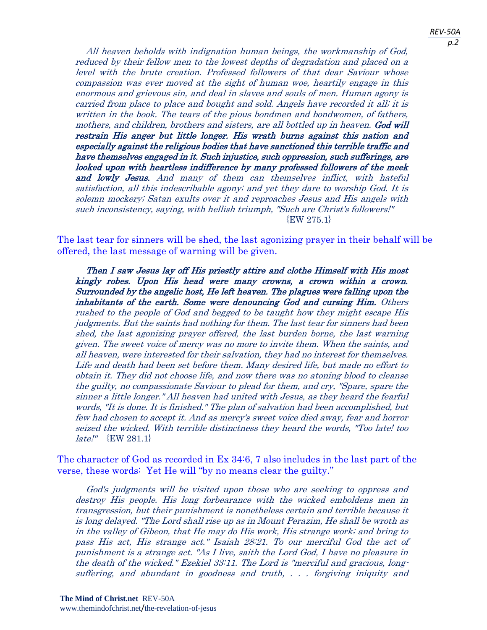All heaven beholds with indignation human beings, the workmanship of God, reduced by their fellow men to the lowest depths of degradation and placed on a level with the brute creation. Professed followers of that dear Saviour whose compassion was ever moved at the sight of human woe, heartily engage in this enormous and grievous sin, and deal in slaves and souls of men. Human agony is carried from place to place and bought and sold. Angels have recorded it all; it is written in the book. The tears of the pious bondmen and bondwomen, of fathers, mothers, and children, brothers and sisters, are all bottled up in heaven. God will restrain His anger but little longer. His wrath burns against this nation and especially against the religious bodies that have sanctioned this terrible traffic and have themselves engaged in it. Such injustice, such oppression, such sufferings, are looked upon with heartless indifference by many professed followers of the meek and lowly Jesus. And many of them can themselves inflict, with hateful satisfaction, all this indescribable agony; and yet they dare to worship God. It is solemn mockery; Satan exults over it and reproaches Jesus and His angels with such inconsistency, saying, with hellish triumph, "Such are Christ's followers!" {EW 275.1}

The last tear for sinners will be shed, the last agonizing prayer in their behalf will be offered, the last message of warning will be given.

Then I saw Jesus lay off His priestly attire and clothe Himself with His most kingly robes. Upon His head were many crowns, a crown within a crown. Surrounded by the angelic host, He left heaven. The plagues were falling upon the inhabitants of the earth. Some were denouncing God and cursing Him. Others rushed to the people of God and begged to be taught how they might escape His judgments. But the saints had nothing for them. The last tear for sinners had been shed, the last agonizing prayer offered, the last burden borne, the last warning given. The sweet voice of mercy was no more to invite them. When the saints, and all heaven, were interested for their salvation, they had no interest for themselves. Life and death had been set before them. Many desired life, but made no effort to obtain it. They did not choose life, and now there was no atoning blood to cleanse the guilty, no compassionate Saviour to plead for them, and cry, "Spare, spare the sinner a little longer." All heaven had united with Jesus, as they heard the fearful words, "It is done. It is finished." The plan of salvation had been accomplished, but few had chosen to accept it. And as mercy's sweet voice died away, fear and horror seized the wicked. With terrible distinctness they heard the words, "Too late! too late!" {EW 281.1}

The character of God as recorded in Ex 34:6, 7 also includes in the last part of the verse, these words: Yet He will "by no means clear the guilty."

God's judgments will be visited upon those who are seeking to oppress and destroy His people. His long forbearance with the wicked emboldens men in transgression, but their punishment is nonetheless certain and terrible because it is long delayed. "The Lord shall rise up as in Mount Perazim, He shall be wroth as in the valley of Gibeon, that He may do His work, His strange work; and bring to pass His act, His strange act." Isaiah 28:21. To our merciful God the act of punishment is a strange act. "As I live, saith the Lord God, I have no pleasure in the death of the wicked." Ezekiel 33:11. The Lord is "merciful and gracious, longsuffering, and abundant in goodness and truth, . . . forgiving iniquity and